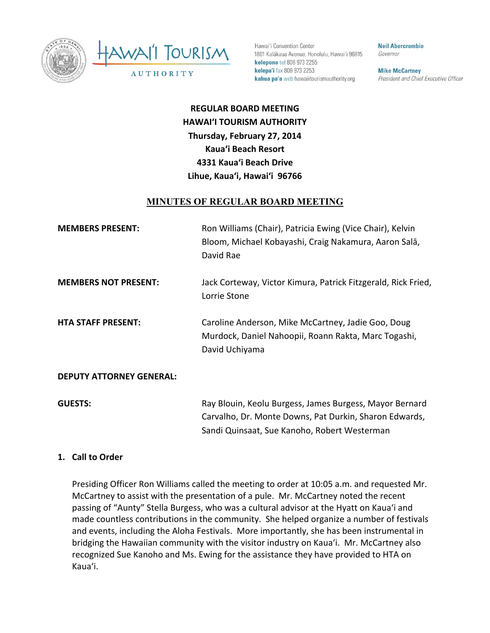



Hawai'i Convention Center 1801 Kalākaua Avenue, Honolulu, Hawai'i 96815 kelepona tel 808 973 2255 kelepa'i fax 808 973 2253 kahua pa'a web hawaiitourismauthority.org

**Neil Abercrombie** Governor

**Mike McCartney** President and Chief Executive Officer

**REGULAR BOARD MEETING HAWAI'I TOURISM AUTHORITY Thursday, February 27, 2014 Kaua'i Beach Resort 4331 Kaua'i Beach Drive** Lihue, Kaua'i, Hawai'i 96766

### **MINUTES OF REGULAR BOARD MEETING**

| <b>MEMBERS PRESENT:</b>         | Ron Williams (Chair), Patricia Ewing (Vice Chair), Kelvin<br>Bloom, Michael Kobayashi, Craig Nakamura, Aaron Salā,<br>David Rae                                   |
|---------------------------------|-------------------------------------------------------------------------------------------------------------------------------------------------------------------|
| <b>MEMBERS NOT PRESENT:</b>     | Jack Corteway, Victor Kimura, Patrick Fitzgerald, Rick Fried,<br>Lorrie Stone                                                                                     |
| <b>HTA STAFF PRESENT:</b>       | Caroline Anderson, Mike McCartney, Jadie Goo, Doug<br>Murdock, Daniel Nahoopii, Roann Rakta, Marc Togashi,<br>David Uchiyama                                      |
| <b>DEPUTY ATTORNEY GENERAL:</b> |                                                                                                                                                                   |
| <b>GUESTS:</b>                  | Ray Blouin, Keolu Burgess, James Burgess, Mayor Bernard<br>Carvalho, Dr. Monte Downs, Pat Durkin, Sharon Edwards,<br>Sandi Quinsaat, Sue Kanoho, Robert Westerman |

#### 1. **Call to Order**

Presiding Officer Ron Williams called the meeting to order at 10:05 a.m. and requested Mr. McCartney to assist with the presentation of a pule. Mr. McCartney noted the recent passing of "Aunty" Stella Burgess, who was a cultural advisor at the Hyatt on Kaua'i and made countless contributions in the community. She helped organize a number of festivals and events, including the Aloha Festivals. More importantly, she has been instrumental in bridging the Hawaiian community with the visitor industry on Kaua'i. Mr. McCartney also recognized Sue Kanoho and Ms. Ewing for the assistance they have provided to HTA on Kaua'i.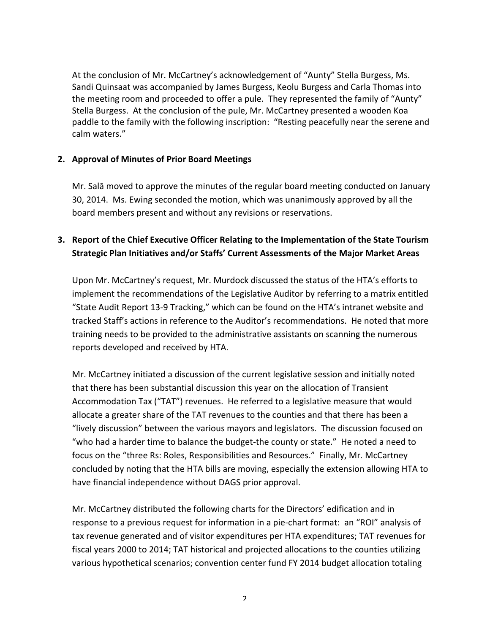At the conclusion of Mr. McCartney's acknowledgement of "Aunty" Stella Burgess, Ms. Sandi Quinsaat was accompanied by James Burgess, Keolu Burgess and Carla Thomas into the meeting room and proceeded to offer a pule. They represented the family of "Aunty" Stella Burgess. At the conclusion of the pule, Mr. McCartney presented a wooden Koa paddle to the family with the following inscription: "Resting peacefully near the serene and calm waters." 

### **2. Approval of Minutes of Prior Board Meetings**

Mr. Salā moved to approve the minutes of the regular board meeting conducted on January 30, 2014. Ms. Ewing seconded the motion, which was unanimously approved by all the board members present and without any revisions or reservations.

## **3.** Report of the Chief Executive Officer Relating to the Implementation of the State Tourism Strategic Plan Initiatives and/or Staffs' Current Assessments of the Major Market Areas

Upon Mr. McCartney's request, Mr. Murdock discussed the status of the HTA's efforts to implement the recommendations of the Legislative Auditor by referring to a matrix entitled "State Audit Report 13-9 Tracking," which can be found on the HTA's intranet website and tracked Staff's actions in reference to the Auditor's recommendations. He noted that more training needs to be provided to the administrative assistants on scanning the numerous reports developed and received by HTA.

Mr. McCartney initiated a discussion of the current legislative session and initially noted that there has been substantial discussion this year on the allocation of Transient Accommodation Tax ("TAT") revenues. He referred to a legislative measure that would allocate a greater share of the TAT revenues to the counties and that there has been a "lively discussion" between the various mayors and legislators. The discussion focused on "who had a harder time to balance the budget-the county or state." He noted a need to focus on the "three Rs: Roles, Responsibilities and Resources." Finally, Mr. McCartney concluded by noting that the HTA bills are moving, especially the extension allowing HTA to have financial independence without DAGS prior approval.

Mr. McCartney distributed the following charts for the Directors' edification and in response to a previous request for information in a pie-chart format: an "ROI" analysis of tax revenue generated and of visitor expenditures per HTA expenditures; TAT revenues for fiscal years 2000 to 2014; TAT historical and projected allocations to the counties utilizing various hypothetical scenarios; convention center fund FY 2014 budget allocation totaling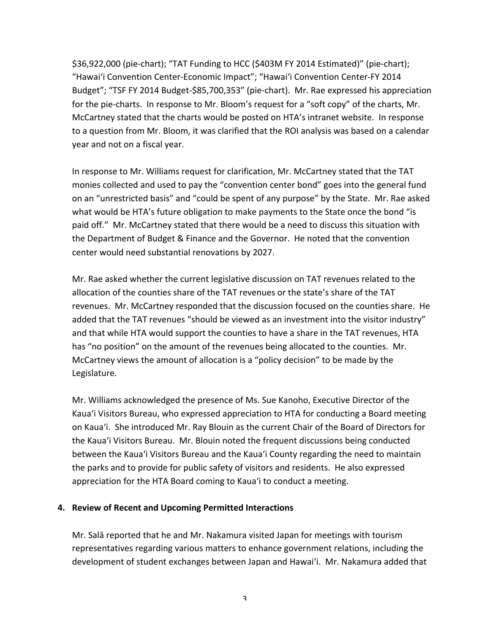\$36,922,000 (pie-chart); "TAT Funding to HCC (\$403M FY 2014 Estimated)" (pie-chart); "Hawai'i Convention Center-Economic Impact"; "Hawai'i Convention Center-FY 2014 Budget"; "TSF FY 2014 Budget-\$85,700,353" (pie-chart). Mr. Rae expressed his appreciation for the pie-charts. In response to Mr. Bloom's request for a "soft copy" of the charts, Mr. McCartney stated that the charts would be posted on HTA's intranet website. In response to a question from Mr. Bloom, it was clarified that the ROI analysis was based on a calendar year and not on a fiscal year.

In response to Mr. Williams request for clarification, Mr. McCartney stated that the TAT monies collected and used to pay the "convention center bond" goes into the general fund on an "unrestricted basis" and "could be spent of any purpose" by the State. Mr. Rae asked what would be HTA's future obligation to make payments to the State once the bond "is paid off." Mr. McCartney stated that there would be a need to discuss this situation with the Department of Budget & Finance and the Governor. He noted that the convention center would need substantial renovations by 2027.

Mr. Rae asked whether the current legislative discussion on TAT revenues related to the allocation of the counties share of the TAT revenues or the state's share of the TAT revenues. Mr. McCartney responded that the discussion focused on the counties share. He added that the TAT revenues "should be viewed as an investment into the visitor industry" and that while HTA would support the counties to have a share in the TAT revenues, HTA has "no position" on the amount of the revenues being allocated to the counties. Mr. McCartney views the amount of allocation is a "policy decision" to be made by the Legislature. 

Mr. Williams acknowledged the presence of Ms. Sue Kanoho, Executive Director of the Kaua'i Visitors Bureau, who expressed appreciation to HTA for conducting a Board meeting on Kaua'i. She introduced Mr. Ray Blouin as the current Chair of the Board of Directors for the Kaua'i Visitors Bureau. Mr. Blouin noted the frequent discussions being conducted between the Kaua'i Visitors Bureau and the Kaua'i County regarding the need to maintain the parks and to provide for public safety of visitors and residents. He also expressed appreciation for the HTA Board coming to Kaua'i to conduct a meeting.

### **4. Review of Recent and Upcoming Permitted Interactions**

Mr. Salā reported that he and Mr. Nakamura visited Japan for meetings with tourism representatives regarding various matters to enhance government relations, including the development of student exchanges between Japan and Hawai'i. Mr. Nakamura added that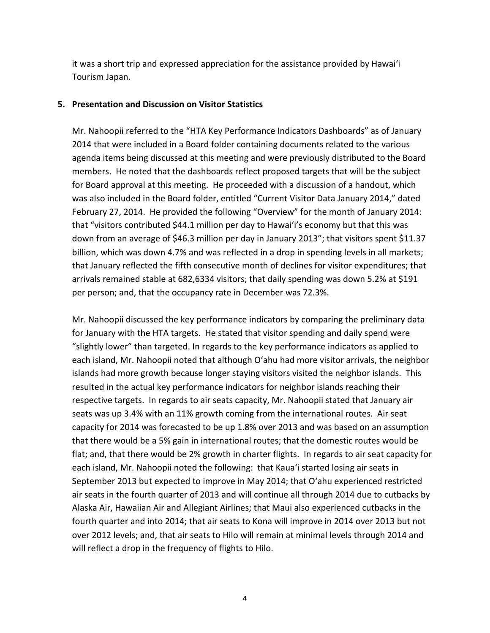it was a short trip and expressed appreciation for the assistance provided by Hawai'i Tourism Japan. 

#### **5. Presentation and Discussion on Visitor Statistics**

Mr. Nahoopii referred to the "HTA Key Performance Indicators Dashboards" as of January 2014 that were included in a Board folder containing documents related to the various agenda items being discussed at this meeting and were previously distributed to the Board members. He noted that the dashboards reflect proposed targets that will be the subject for Board approval at this meeting. He proceeded with a discussion of a handout, which was also included in the Board folder, entitled "Current Visitor Data January 2014," dated February 27, 2014. He provided the following "Overview" for the month of January 2014: that "visitors contributed \$44.1 million per day to Hawai'i's economy but that this was down from an average of \$46.3 million per day in January 2013"; that visitors spent \$11.37 billion, which was down 4.7% and was reflected in a drop in spending levels in all markets; that January reflected the fifth consecutive month of declines for visitor expenditures; that arrivals remained stable at 682,6334 visitors; that daily spending was down 5.2% at \$191 per person; and, that the occupancy rate in December was 72.3%.

Mr. Nahoopii discussed the key performance indicators by comparing the preliminary data for January with the HTA targets. He stated that visitor spending and daily spend were "slightly lower" than targeted. In regards to the key performance indicators as applied to each island, Mr. Nahoopii noted that although O'ahu had more visitor arrivals, the neighbor islands had more growth because longer staying visitors visited the neighbor islands. This resulted in the actual key performance indicators for neighbor islands reaching their respective targets. In regards to air seats capacity, Mr. Nahoopii stated that January air seats was up 3.4% with an 11% growth coming from the international routes. Air seat capacity for 2014 was forecasted to be up 1.8% over 2013 and was based on an assumption that there would be a 5% gain in international routes; that the domestic routes would be flat; and, that there would be 2% growth in charter flights. In regards to air seat capacity for each island, Mr. Nahoopii noted the following: that Kaua'i started losing air seats in September 2013 but expected to improve in May 2014; that O'ahu experienced restricted air seats in the fourth quarter of 2013 and will continue all through 2014 due to cutbacks by Alaska Air, Hawaiian Air and Allegiant Airlines; that Maui also experienced cutbacks in the fourth quarter and into 2014; that air seats to Kona will improve in 2014 over 2013 but not over 2012 levels; and, that air seats to Hilo will remain at minimal levels through 2014 and will reflect a drop in the frequency of flights to Hilo.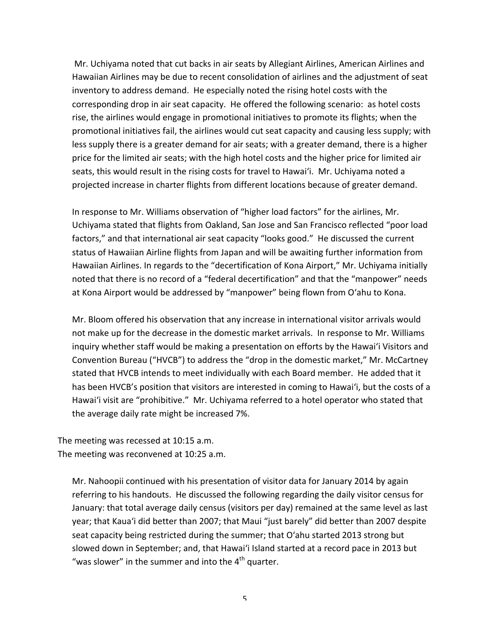Mr. Uchiyama noted that cut backs in air seats by Allegiant Airlines, American Airlines and Hawaiian Airlines may be due to recent consolidation of airlines and the adjustment of seat inventory to address demand. He especially noted the rising hotel costs with the corresponding drop in air seat capacity. He offered the following scenario: as hotel costs rise, the airlines would engage in promotional initiatives to promote its flights; when the promotional initiatives fail, the airlines would cut seat capacity and causing less supply; with less supply there is a greater demand for air seats; with a greater demand, there is a higher price for the limited air seats; with the high hotel costs and the higher price for limited air seats, this would result in the rising costs for travel to Hawai'i. Mr. Uchiyama noted a projected increase in charter flights from different locations because of greater demand.

In response to Mr. Williams observation of "higher load factors" for the airlines, Mr. Uchiyama stated that flights from Oakland, San Jose and San Francisco reflected "poor load factors," and that international air seat capacity "looks good." He discussed the current status of Hawaiian Airline flights from Japan and will be awaiting further information from Hawaiian Airlines. In regards to the "decertification of Kona Airport," Mr. Uchiyama initially noted that there is no record of a "federal decertification" and that the "manpower" needs at Kona Airport would be addressed by "manpower" being flown from O'ahu to Kona.

Mr. Bloom offered his observation that any increase in international visitor arrivals would not make up for the decrease in the domestic market arrivals. In response to Mr. Williams inquiry whether staff would be making a presentation on efforts by the Hawai'i Visitors and Convention Bureau ("HVCB") to address the "drop in the domestic market," Mr. McCartney stated that HVCB intends to meet individually with each Board member. He added that it has been HVCB's position that visitors are interested in coming to Hawai'i, but the costs of a Hawai'i visit are "prohibitive." Mr. Uchiyama referred to a hotel operator who stated that the average daily rate might be increased 7%.

The meeting was recessed at 10:15 a.m. The meeting was reconvened at 10:25 a.m.

Mr. Nahoopii continued with his presentation of visitor data for January 2014 by again referring to his handouts. He discussed the following regarding the daily visitor census for January: that total average daily census (visitors per day) remained at the same level as last year; that Kaua'i did better than 2007; that Maui "just barely" did better than 2007 despite seat capacity being restricted during the summer; that O'ahu started 2013 strong but slowed down in September; and, that Hawai'i Island started at a record pace in 2013 but "was slower" in the summer and into the  $4<sup>th</sup>$  quarter.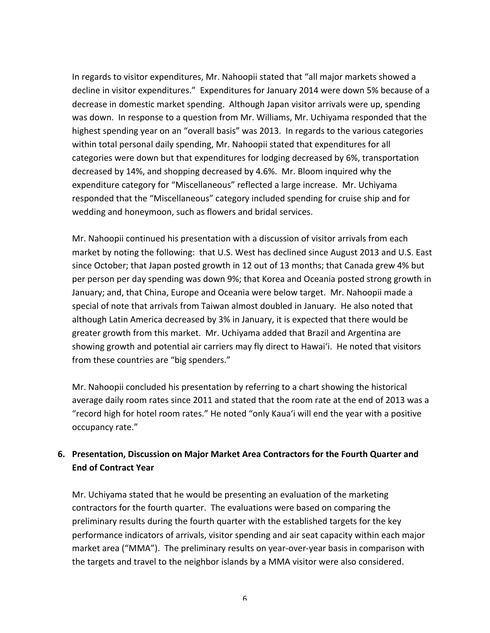In regards to visitor expenditures, Mr. Nahoopii stated that "all major markets showed a decline in visitor expenditures." Expenditures for January 2014 were down 5% because of a decrease in domestic market spending. Although Japan visitor arrivals were up, spending was down. In response to a question from Mr. Williams, Mr. Uchiyama responded that the highest spending year on an "overall basis" was 2013. In regards to the various categories within total personal daily spending, Mr. Nahoopii stated that expenditures for all categories were down but that expenditures for lodging decreased by 6%, transportation decreased by 14%, and shopping decreased by 4.6%. Mr. Bloom inquired why the expenditure category for "Miscellaneous" reflected a large increase. Mr. Uchiyama responded that the "Miscellaneous" category included spending for cruise ship and for wedding and honeymoon, such as flowers and bridal services.

Mr. Nahoopii continued his presentation with a discussion of visitor arrivals from each market by noting the following: that U.S. West has declined since August 2013 and U.S. East since October; that Japan posted growth in 12 out of 13 months; that Canada grew 4% but per person per day spending was down 9%; that Korea and Oceania posted strong growth in January; and, that China, Europe and Oceania were below target. Mr. Nahoopii made a special of note that arrivals from Taiwan almost doubled in January. He also noted that although Latin America decreased by 3% in January, it is expected that there would be greater growth from this market. Mr. Uchiyama added that Brazil and Argentina are showing growth and potential air carriers may fly direct to Hawai'i. He noted that visitors from these countries are "big spenders."

Mr. Nahoopii concluded his presentation by referring to a chart showing the historical average daily room rates since 2011 and stated that the room rate at the end of 2013 was a "record high for hotel room rates." He noted "only Kaua'i will end the year with a positive occupancy rate."

### **6.** Presentation, Discussion on Major Market Area Contractors for the Fourth Quarter and **End of Contract Year**

Mr. Uchiyama stated that he would be presenting an evaluation of the marketing contractors for the fourth quarter. The evaluations were based on comparing the preliminary results during the fourth quarter with the established targets for the key performance indicators of arrivals, visitor spending and air seat capacity within each major market area ("MMA"). The preliminary results on year-over-year basis in comparison with the targets and travel to the neighbor islands by a MMA visitor were also considered.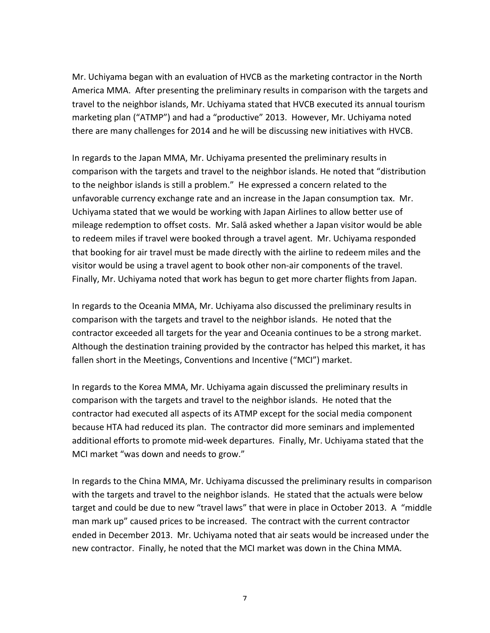Mr. Uchiyama began with an evaluation of HVCB as the marketing contractor in the North America MMA. After presenting the preliminary results in comparison with the targets and travel to the neighbor islands, Mr. Uchiyama stated that HVCB executed its annual tourism marketing plan ("ATMP") and had a "productive" 2013. However, Mr. Uchiyama noted there are many challenges for 2014 and he will be discussing new initiatives with HVCB.

In regards to the Japan MMA, Mr. Uchiyama presented the preliminary results in comparison with the targets and travel to the neighbor islands. He noted that "distribution to the neighbor islands is still a problem." He expressed a concern related to the unfavorable currency exchange rate and an increase in the Japan consumption tax. Mr. Uchiyama stated that we would be working with Japan Airlines to allow better use of mileage redemption to offset costs. Mr. Salā asked whether a Japan visitor would be able to redeem miles if travel were booked through a travel agent. Mr. Uchiyama responded that booking for air travel must be made directly with the airline to redeem miles and the visitor would be using a travel agent to book other non-air components of the travel. Finally, Mr. Uchiyama noted that work has begun to get more charter flights from Japan.

In regards to the Oceania MMA, Mr. Uchiyama also discussed the preliminary results in comparison with the targets and travel to the neighbor islands. He noted that the contractor exceeded all targets for the year and Oceania continues to be a strong market. Although the destination training provided by the contractor has helped this market, it has fallen short in the Meetings, Conventions and Incentive ("MCI") market.

In regards to the Korea MMA, Mr. Uchiyama again discussed the preliminary results in comparison with the targets and travel to the neighbor islands. He noted that the contractor had executed all aspects of its ATMP except for the social media component because HTA had reduced its plan. The contractor did more seminars and implemented additional efforts to promote mid-week departures. Finally, Mr. Uchiyama stated that the MCI market "was down and needs to grow."

In regards to the China MMA, Mr. Uchiyama discussed the preliminary results in comparison with the targets and travel to the neighbor islands. He stated that the actuals were below target and could be due to new "travel laws" that were in place in October 2013. A "middle man mark up" caused prices to be increased. The contract with the current contractor ended in December 2013. Mr. Uchiyama noted that air seats would be increased under the new contractor. Finally, he noted that the MCI market was down in the China MMA.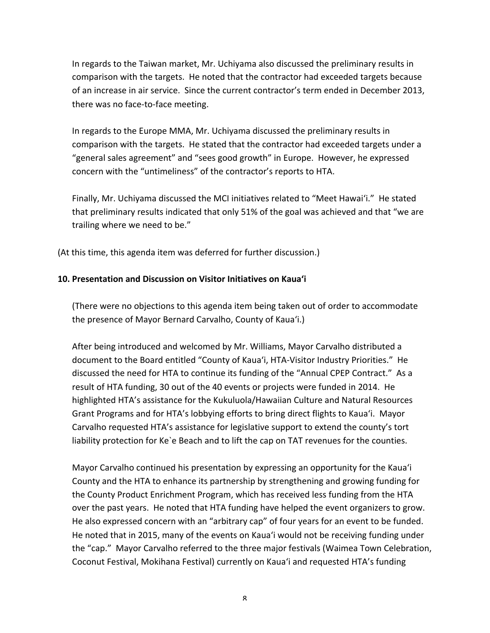In regards to the Taiwan market, Mr. Uchiyama also discussed the preliminary results in comparison with the targets. He noted that the contractor had exceeded targets because of an increase in air service. Since the current contractor's term ended in December 2013, there was no face-to-face meeting.

In regards to the Europe MMA, Mr. Uchiyama discussed the preliminary results in comparison with the targets. He stated that the contractor had exceeded targets under a "general sales agreement" and "sees good growth" in Europe. However, he expressed concern with the "untimeliness" of the contractor's reports to HTA.

Finally, Mr. Uchiyama discussed the MCI initiatives related to "Meet Hawai'i." He stated that preliminary results indicated that only 51% of the goal was achieved and that "we are trailing where we need to be."

(At this time, this agenda item was deferred for further discussion.)

#### 10. Presentation and Discussion on Visitor Initiatives on Kaua'i

(There were no objections to this agenda item being taken out of order to accommodate the presence of Mayor Bernard Carvalho, County of Kaua'i.)

After being introduced and welcomed by Mr. Williams, Mayor Carvalho distributed a document to the Board entitled "County of Kaua'i, HTA-Visitor Industry Priorities." He discussed the need for HTA to continue its funding of the "Annual CPEP Contract." As a result of HTA funding, 30 out of the 40 events or projects were funded in 2014. He highlighted HTA's assistance for the Kukuluola/Hawaiian Culture and Natural Resources Grant Programs and for HTA's lobbying efforts to bring direct flights to Kaua'i. Mayor Carvalho requested HTA's assistance for legislative support to extend the county's tort liability protection for Ke`e Beach and to lift the cap on TAT revenues for the counties.

Mayor Carvalho continued his presentation by expressing an opportunity for the Kaua'i County and the HTA to enhance its partnership by strengthening and growing funding for the County Product Enrichment Program, which has received less funding from the HTA over the past years. He noted that HTA funding have helped the event organizers to grow. He also expressed concern with an "arbitrary cap" of four years for an event to be funded. He noted that in 2015, many of the events on Kaua'i would not be receiving funding under the "cap." Mayor Carvalho referred to the three major festivals (Waimea Town Celebration, Coconut Festival, Mokihana Festival) currently on Kaua'i and requested HTA's funding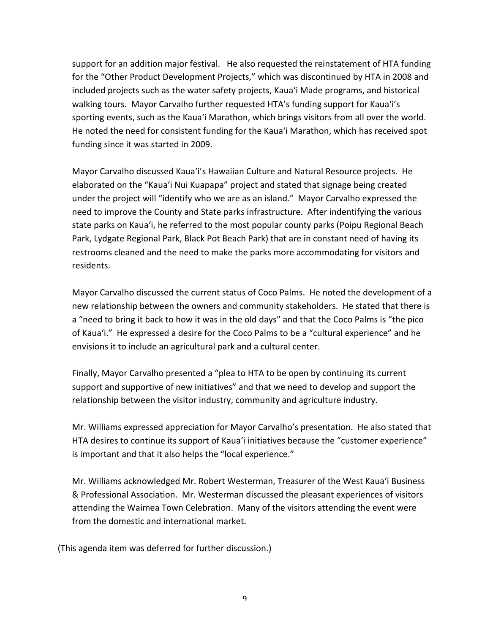support for an addition major festival. He also requested the reinstatement of HTA funding for the "Other Product Development Projects," which was discontinued by HTA in 2008 and included projects such as the water safety projects, Kaua'i Made programs, and historical walking tours. Mayor Carvalho further requested HTA's funding support for Kaua'i's sporting events, such as the Kaua'i Marathon, which brings visitors from all over the world. He noted the need for consistent funding for the Kaua'i Marathon, which has received spot funding since it was started in 2009.

Mayor Carvalho discussed Kaua'i's Hawaiian Culture and Natural Resource projects. He elaborated on the "Kaua'i Nui Kuapapa" project and stated that signage being created under the project will "identify who we are as an island." Mayor Carvalho expressed the need to improve the County and State parks infrastructure. After indentifying the various state parks on Kaua'i, he referred to the most popular county parks (Poipu Regional Beach Park, Lydgate Regional Park, Black Pot Beach Park) that are in constant need of having its restrooms cleaned and the need to make the parks more accommodating for visitors and residents. 

Mayor Carvalho discussed the current status of Coco Palms. He noted the development of a new relationship between the owners and community stakeholders. He stated that there is a "need to bring it back to how it was in the old days" and that the Coco Palms is "the pico of Kaua'i." He expressed a desire for the Coco Palms to be a "cultural experience" and he envisions it to include an agricultural park and a cultural center.

Finally, Mayor Carvalho presented a "plea to HTA to be open by continuing its current support and supportive of new initiatives" and that we need to develop and support the relationship between the visitor industry, community and agriculture industry.

Mr. Williams expressed appreciation for Mayor Carvalho's presentation. He also stated that HTA desires to continue its support of Kaua'i initiatives because the "customer experience" is important and that it also helps the "local experience."

Mr. Williams acknowledged Mr. Robert Westerman, Treasurer of the West Kaua'i Business & Professional Association. Mr. Westerman discussed the pleasant experiences of visitors attending the Waimea Town Celebration. Many of the visitors attending the event were from the domestic and international market.

(This agenda item was deferred for further discussion.)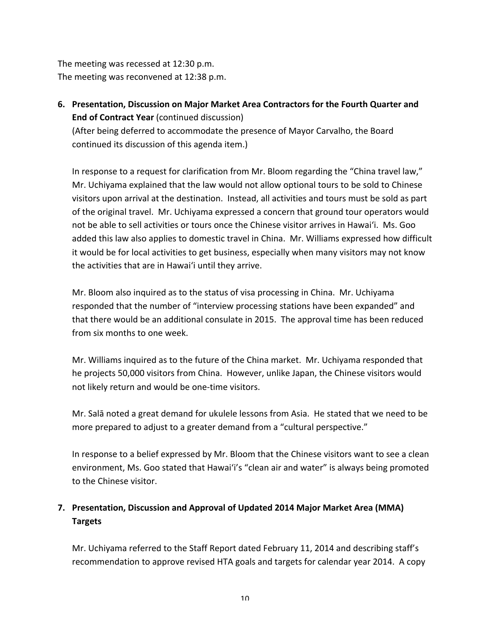The meeting was recessed at 12:30 p.m. The meeting was reconvened at 12:38 p.m.

**6.** Presentation, Discussion on Major Market Area Contractors for the Fourth Quarter and **End of Contract Year** (continued discussion) (After being deferred to accommodate the presence of Mayor Carvalho, the Board

continued its discussion of this agenda item.)

In response to a request for clarification from Mr. Bloom regarding the "China travel law," Mr. Uchiyama explained that the law would not allow optional tours to be sold to Chinese visitors upon arrival at the destination. Instead, all activities and tours must be sold as part of the original travel. Mr. Uchiyama expressed a concern that ground tour operators would not be able to sell activities or tours once the Chinese visitor arrives in Hawai'i. Ms. Goo added this law also applies to domestic travel in China. Mr. Williams expressed how difficult it would be for local activities to get business, especially when many visitors may not know the activities that are in Hawai'i until they arrive.

Mr. Bloom also inquired as to the status of visa processing in China. Mr. Uchiyama responded that the number of "interview processing stations have been expanded" and that there would be an additional consulate in 2015. The approval time has been reduced from six months to one week.

Mr. Williams inquired as to the future of the China market. Mr. Uchiyama responded that he projects 50,000 visitors from China. However, unlike Japan, the Chinese visitors would not likely return and would be one-time visitors.

Mr. Salā noted a great demand for ukulele lessons from Asia. He stated that we need to be more prepared to adjust to a greater demand from a "cultural perspective."

In response to a belief expressed by Mr. Bloom that the Chinese visitors want to see a clean environment, Ms. Goo stated that Hawai'i's "clean air and water" is always being promoted to the Chinese visitor.

# **7.** Presentation, Discussion and Approval of Updated 2014 Major Market Area (MMA) **Targets**

Mr. Uchiyama referred to the Staff Report dated February 11, 2014 and describing staff's recommendation to approve revised HTA goals and targets for calendar year 2014. A copy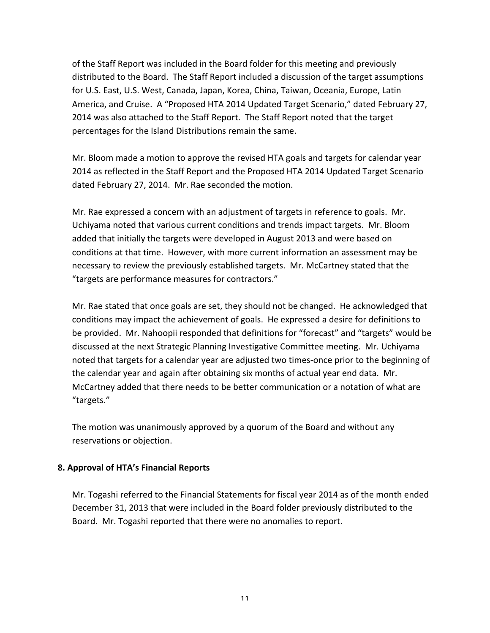of the Staff Report was included in the Board folder for this meeting and previously distributed to the Board. The Staff Report included a discussion of the target assumptions for U.S. East, U.S. West, Canada, Japan, Korea, China, Taiwan, Oceania, Europe, Latin America, and Cruise. A "Proposed HTA 2014 Updated Target Scenario," dated February 27, 2014 was also attached to the Staff Report. The Staff Report noted that the target percentages for the Island Distributions remain the same.

Mr. Bloom made a motion to approve the revised HTA goals and targets for calendar year 2014 as reflected in the Staff Report and the Proposed HTA 2014 Updated Target Scenario dated February 27, 2014. Mr. Rae seconded the motion.

Mr. Rae expressed a concern with an adjustment of targets in reference to goals. Mr. Uchiyama noted that various current conditions and trends impact targets. Mr. Bloom added that initially the targets were developed in August 2013 and were based on conditions at that time. However, with more current information an assessment may be necessary to review the previously established targets. Mr. McCartney stated that the "targets are performance measures for contractors."

Mr. Rae stated that once goals are set, they should not be changed. He acknowledged that conditions may impact the achievement of goals. He expressed a desire for definitions to be provided. Mr. Nahoopii responded that definitions for "forecast" and "targets" would be discussed at the next Strategic Planning Investigative Committee meeting. Mr. Uchiyama noted that targets for a calendar year are adjusted two times-once prior to the beginning of the calendar year and again after obtaining six months of actual year end data. Mr. McCartney added that there needs to be better communication or a notation of what are "targets."

The motion was unanimously approved by a quorum of the Board and without any reservations or objection.

### **8. Approval of HTA's Financial Reports**

Mr. Togashi referred to the Financial Statements for fiscal year 2014 as of the month ended December 31, 2013 that were included in the Board folder previously distributed to the Board. Mr. Togashi reported that there were no anomalies to report.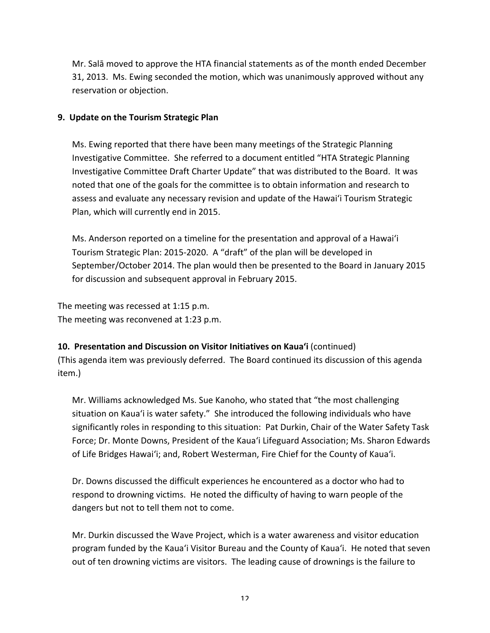Mr. Salā moved to approve the HTA financial statements as of the month ended December 31, 2013. Ms. Ewing seconded the motion, which was unanimously approved without any reservation or objection.

#### **9. Update on the Tourism Strategic Plan**

Ms. Ewing reported that there have been many meetings of the Strategic Planning Investigative Committee. She referred to a document entitled "HTA Strategic Planning Investigative Committee Draft Charter Update" that was distributed to the Board. It was noted that one of the goals for the committee is to obtain information and research to assess and evaluate any necessary revision and update of the Hawai'i Tourism Strategic Plan, which will currently end in 2015.

Ms. Anderson reported on a timeline for the presentation and approval of a Hawai'i Tourism Strategic Plan: 2015-2020. A "draft" of the plan will be developed in September/October 2014. The plan would then be presented to the Board in January 2015 for discussion and subsequent approval in February 2015.

The meeting was recessed at 1:15 p.m. The meeting was reconvened at 1:23 p.m.

### **10. Presentation and Discussion on Visitor Initiatives on Kaua'i (continued)**

(This agenda item was previously deferred. The Board continued its discussion of this agenda item.)

Mr. Williams acknowledged Ms. Sue Kanoho, who stated that "the most challenging situation on Kaua'i is water safety." She introduced the following individuals who have significantly roles in responding to this situation: Pat Durkin, Chair of the Water Safety Task Force; Dr. Monte Downs, President of the Kaua'i Lifeguard Association; Ms. Sharon Edwards of Life Bridges Hawai'i; and, Robert Westerman, Fire Chief for the County of Kaua'i.

Dr. Downs discussed the difficult experiences he encountered as a doctor who had to respond to drowning victims. He noted the difficulty of having to warn people of the dangers but not to tell them not to come.

Mr. Durkin discussed the Wave Project, which is a water awareness and visitor education program funded by the Kaua'i Visitor Bureau and the County of Kaua'i. He noted that seven out of ten drowning victims are visitors. The leading cause of drownings is the failure to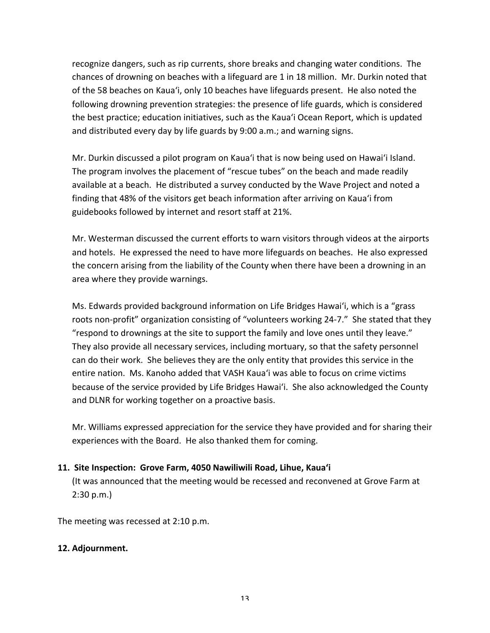recognize dangers, such as rip currents, shore breaks and changing water conditions. The chances of drowning on beaches with a lifeguard are 1 in 18 million. Mr. Durkin noted that of the 58 beaches on Kaua'i, only 10 beaches have lifeguards present. He also noted the following drowning prevention strategies: the presence of life guards, which is considered the best practice; education initiatives, such as the Kaua'i Ocean Report, which is updated and distributed every day by life guards by 9:00 a.m.; and warning signs.

Mr. Durkin discussed a pilot program on Kaua'i that is now being used on Hawai'i Island. The program involves the placement of "rescue tubes" on the beach and made readily available at a beach. He distributed a survey conducted by the Wave Project and noted a finding that 48% of the visitors get beach information after arriving on Kaua'i from guidebooks followed by internet and resort staff at 21%.

Mr. Westerman discussed the current efforts to warn visitors through videos at the airports and hotels. He expressed the need to have more lifeguards on beaches. He also expressed the concern arising from the liability of the County when there have been a drowning in an area where they provide warnings.

Ms. Edwards provided background information on Life Bridges Hawai'i, which is a "grass roots non-profit" organization consisting of "volunteers working 24-7." She stated that they "respond to drownings at the site to support the family and love ones until they leave." They also provide all necessary services, including mortuary, so that the safety personnel can do their work. She believes they are the only entity that provides this service in the entire nation. Ms. Kanoho added that VASH Kaua'i was able to focus on crime victims because of the service provided by Life Bridges Hawai'i. She also acknowledged the County and DLNR for working together on a proactive basis.

Mr. Williams expressed appreciation for the service they have provided and for sharing their experiences with the Board. He also thanked them for coming.

### **11. Site Inspection: Grove Farm, 4050 Nawiliwili Road, Lihue, Kaua'i**

(It was announced that the meeting would be recessed and reconvened at Grove Farm at 2:30 p.m.)

The meeting was recessed at 2:10 p.m.

#### 12. Adjournment.